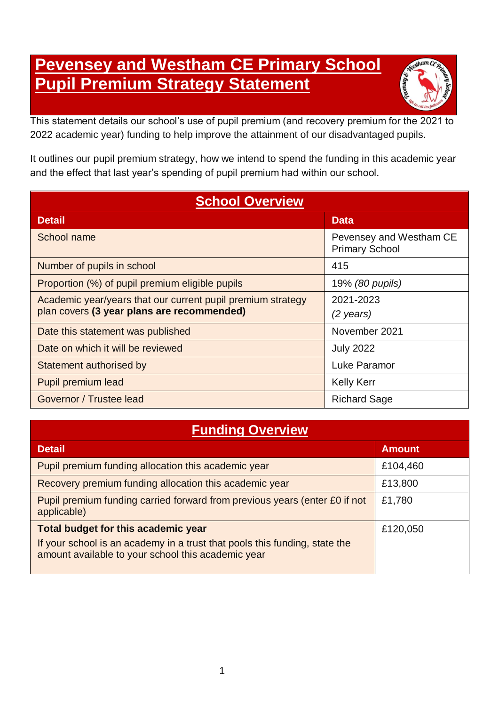# **Pevensey and Westham CE Primary School Pupil Premium Strategy Statement**



This statement details our school's use of pupil premium (and recovery premium for the 2021 to 2022 academic year) funding to help improve the attainment of our disadvantaged pupils.

It outlines our pupil premium strategy, how we intend to spend the funding in this academic year and the effect that last year's spending of pupil premium had within our school.

| <b>School Overview</b>                                      |                                                  |  |
|-------------------------------------------------------------|--------------------------------------------------|--|
| <b>Detail</b>                                               | <b>Data</b>                                      |  |
| School name                                                 | Pevensey and Westham CE<br><b>Primary School</b> |  |
| Number of pupils in school                                  | 415                                              |  |
| Proportion (%) of pupil premium eligible pupils             | 19% (80 pupils)                                  |  |
| Academic year/years that our current pupil premium strategy | 2021-2023                                        |  |
| plan covers (3 year plans are recommended)                  | (2 years)                                        |  |
| Date this statement was published                           | November 2021                                    |  |
| Date on which it will be reviewed                           | <b>July 2022</b>                                 |  |
| Statement authorised by                                     | <b>Luke Paramor</b>                              |  |
| Pupil premium lead                                          | <b>Kelly Kerr</b>                                |  |
| Governor / Trustee lead                                     | <b>Richard Sage</b>                              |  |

## **Funding Overview**

| <b>Detail</b>                                                                                                                    | <b>Amount</b> |
|----------------------------------------------------------------------------------------------------------------------------------|---------------|
| Pupil premium funding allocation this academic year                                                                              | £104,460      |
| Recovery premium funding allocation this academic year                                                                           | £13,800       |
| Pupil premium funding carried forward from previous years (enter £0 if not<br>applicable)                                        | £1,780        |
| <b>Total budget for this academic year</b>                                                                                       | £120,050      |
| If your school is an academy in a trust that pools this funding, state the<br>amount available to your school this academic year |               |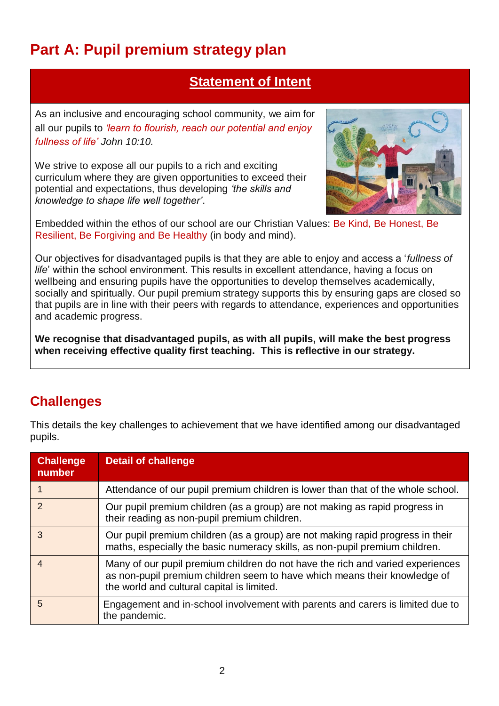# **Part A: Pupil premium strategy plan**

### **Statement of Intent**

As an inclusive and encouraging school community, we aim for all our pupils to *'learn to flourish, reach our potential and enjoy fullness of life' John 10:10.*

We strive to expose all our pupils to a rich and exciting curriculum where they are given opportunities to exceed their potential and expectations, thus developing *'the skills and knowledge to shape life well together'*.



Embedded within the ethos of our school are our Christian Values: Be Kind, Be Honest, Be Resilient, Be Forgiving and Be Healthy (in body and mind).

Our objectives for disadvantaged pupils is that they are able to enjoy and access a '*fullness of life*' within the school environment. This results in excellent attendance, having a focus on wellbeing and ensuring pupils have the opportunities to develop themselves academically, socially and spiritually. Our pupil premium strategy supports this by ensuring gaps are closed so that pupils are in line with their peers with regards to attendance, experiences and opportunities and academic progress.

**We recognise that disadvantaged pupils, as with all pupils, will make the best progress when receiving effective quality first teaching. This is reflective in our strategy.**

### **Challenges**

This details the key challenges to achievement that we have identified among our disadvantaged pupils.

| <b>Challenge</b><br>number | <b>Detail of challenge</b>                                                                                                                                                                                |
|----------------------------|-----------------------------------------------------------------------------------------------------------------------------------------------------------------------------------------------------------|
|                            | Attendance of our pupil premium children is lower than that of the whole school.                                                                                                                          |
| $\mathcal{P}$              | Our pupil premium children (as a group) are not making as rapid progress in<br>their reading as non-pupil premium children.                                                                               |
| 3                          | Our pupil premium children (as a group) are not making rapid progress in their<br>maths, especially the basic numeracy skills, as non-pupil premium children.                                             |
| $\overline{4}$             | Many of our pupil premium children do not have the rich and varied experiences<br>as non-pupil premium children seem to have which means their knowledge of<br>the world and cultural capital is limited. |
| 5                          | Engagement and in-school involvement with parents and carers is limited due to<br>the pandemic.                                                                                                           |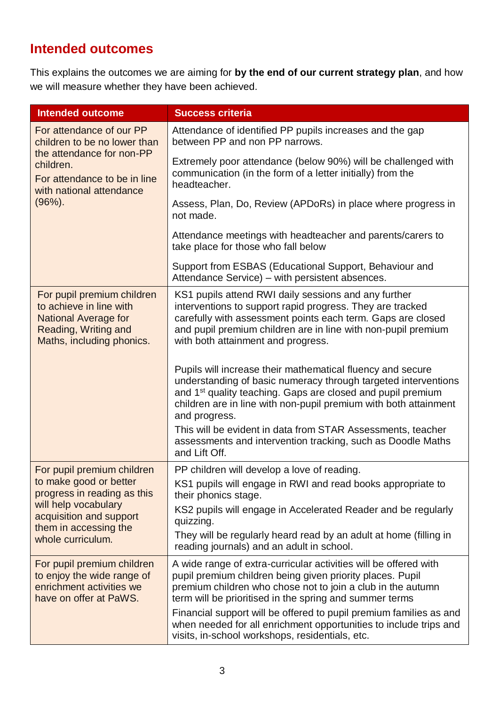# **Intended outcomes**

This explains the outcomes we are aiming for **by the end of our current strategy plan**, and how we will measure whether they have been achieved.

| <b>Intended outcome</b>                                                                                                                                                              | <b>Success criteria</b>                                                                                                                                                                                                                                                                                                                                                                                                                               |
|--------------------------------------------------------------------------------------------------------------------------------------------------------------------------------------|-------------------------------------------------------------------------------------------------------------------------------------------------------------------------------------------------------------------------------------------------------------------------------------------------------------------------------------------------------------------------------------------------------------------------------------------------------|
| For attendance of our PP<br>children to be no lower than<br>the attendance for non-PP<br>children.<br>For attendance to be in line<br>with national attendance                       | Attendance of identified PP pupils increases and the gap<br>between PP and non PP narrows.                                                                                                                                                                                                                                                                                                                                                            |
|                                                                                                                                                                                      | Extremely poor attendance (below 90%) will be challenged with<br>communication (in the form of a letter initially) from the<br>headteacher.                                                                                                                                                                                                                                                                                                           |
| $(96\%)$ .                                                                                                                                                                           | Assess, Plan, Do, Review (APDoRs) in place where progress in<br>not made.                                                                                                                                                                                                                                                                                                                                                                             |
|                                                                                                                                                                                      | Attendance meetings with headteacher and parents/carers to<br>take place for those who fall below                                                                                                                                                                                                                                                                                                                                                     |
|                                                                                                                                                                                      | Support from ESBAS (Educational Support, Behaviour and<br>Attendance Service) – with persistent absences.                                                                                                                                                                                                                                                                                                                                             |
| For pupil premium children<br>to achieve in line with<br><b>National Average for</b><br>Reading, Writing and<br>Maths, including phonics.                                            | KS1 pupils attend RWI daily sessions and any further<br>interventions to support rapid progress. They are tracked<br>carefully with assessment points each term. Gaps are closed<br>and pupil premium children are in line with non-pupil premium<br>with both attainment and progress.                                                                                                                                                               |
|                                                                                                                                                                                      | Pupils will increase their mathematical fluency and secure<br>understanding of basic numeracy through targeted interventions<br>and 1 <sup>st</sup> quality teaching. Gaps are closed and pupil premium<br>children are in line with non-pupil premium with both attainment<br>and progress.<br>This will be evident in data from STAR Assessments, teacher<br>assessments and intervention tracking, such as Doodle Maths                            |
|                                                                                                                                                                                      | and Lift Off.                                                                                                                                                                                                                                                                                                                                                                                                                                         |
| For pupil premium children<br>to make good or better<br>progress in reading as this<br>will help vocabulary<br>acquisition and support<br>them in accessing the<br>whole curriculum. | PP children will develop a love of reading.<br>KS1 pupils will engage in RWI and read books appropriate to<br>their phonics stage.<br>KS2 pupils will engage in Accelerated Reader and be regularly<br>quizzing.<br>They will be regularly heard read by an adult at home (filling in<br>reading journals) and an adult in school.                                                                                                                    |
| For pupil premium children<br>to enjoy the wide range of<br>enrichment activities we<br>have on offer at PaWS.                                                                       | A wide range of extra-curricular activities will be offered with<br>pupil premium children being given priority places. Pupil<br>premium children who chose not to join a club in the autumn<br>term will be prioritised in the spring and summer terms<br>Financial support will be offered to pupil premium families as and<br>when needed for all enrichment opportunities to include trips and<br>visits, in-school workshops, residentials, etc. |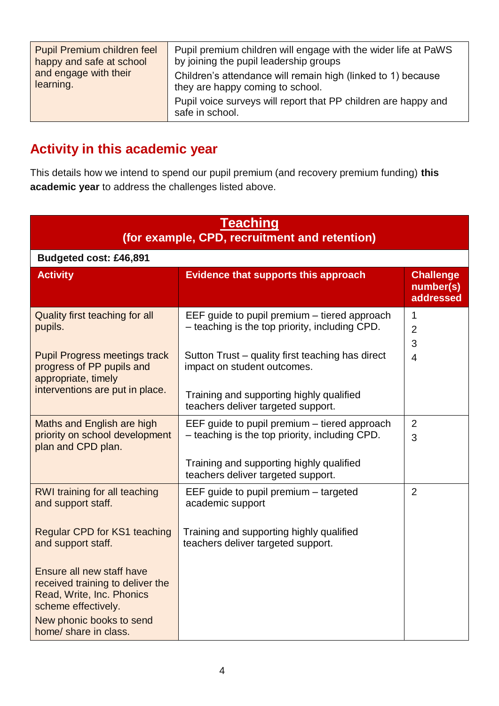| Pupil Premium children feel | Pupil premium children will engage with the wider life at PaWS                    |
|-----------------------------|-----------------------------------------------------------------------------------|
| happy and safe at school    | by joining the pupil leadership groups                                            |
| and engage with their       | Children's attendance will remain high (linked to 1) because                      |
| learning.                   | they are happy coming to school.                                                  |
|                             | Pupil voice surveys will report that PP children are happy and<br>safe in school. |

# **Activity in this academic year**

This details how we intend to spend our pupil premium (and recovery premium funding) **this academic year** to address the challenges listed above.

| <b>Teaching</b><br>(for example, CPD, recruitment and retention)                                                  |                                                                                                |                                            |
|-------------------------------------------------------------------------------------------------------------------|------------------------------------------------------------------------------------------------|--------------------------------------------|
| Budgeted cost: £46,891                                                                                            |                                                                                                |                                            |
| <b>Activity</b>                                                                                                   | <b>Evidence that supports this approach</b>                                                    | <b>Challenge</b><br>number(s)<br>addressed |
| Quality first teaching for all<br>pupils.                                                                         | EEF guide to pupil premium – tiered approach<br>- teaching is the top priority, including CPD. | 1<br>$\overline{2}$<br>3                   |
| <b>Pupil Progress meetings track</b><br>progress of PP pupils and<br>appropriate, timely                          | Sutton Trust - quality first teaching has direct<br>impact on student outcomes.                | $\overline{4}$                             |
| interventions are put in place.                                                                                   | Training and supporting highly qualified<br>teachers deliver targeted support.                 |                                            |
| Maths and English are high<br>priority on school development<br>plan and CPD plan.                                | EEF guide to pupil premium – tiered approach<br>- teaching is the top priority, including CPD. | $\overline{2}$<br>3                        |
|                                                                                                                   | Training and supporting highly qualified<br>teachers deliver targeted support.                 |                                            |
| RWI training for all teaching<br>and support staff.                                                               | EEF guide to pupil premium - targeted<br>academic support                                      | $\overline{2}$                             |
| <b>Regular CPD for KS1 teaching</b><br>and support staff.                                                         | Training and supporting highly qualified<br>teachers deliver targeted support.                 |                                            |
| Ensure all new staff have<br>received training to deliver the<br>Read, Write, Inc. Phonics<br>scheme effectively. |                                                                                                |                                            |
| New phonic books to send<br>home/ share in class.                                                                 |                                                                                                |                                            |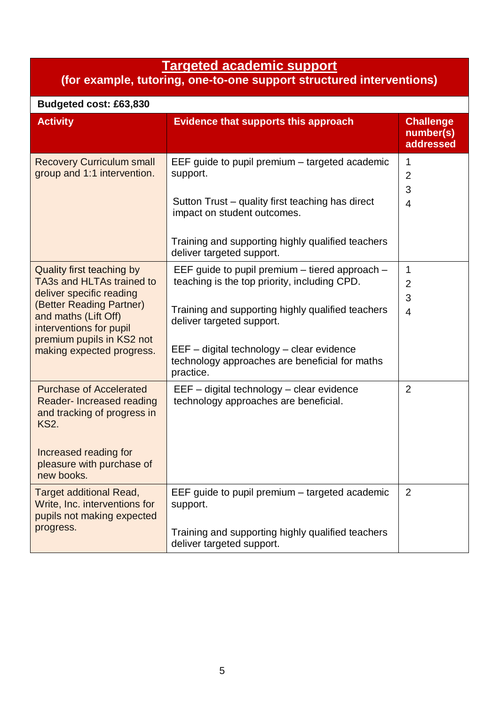#### **Targeted academic support**

#### **(for example, tutoring, one-to-one support structured interventions)**

| Budgeted cost: £63,830                                                                                                                                                                                                      |                                                                                                                                                                                                                                                                                                  |                                                      |
|-----------------------------------------------------------------------------------------------------------------------------------------------------------------------------------------------------------------------------|--------------------------------------------------------------------------------------------------------------------------------------------------------------------------------------------------------------------------------------------------------------------------------------------------|------------------------------------------------------|
| <b>Activity</b>                                                                                                                                                                                                             | <b>Evidence that supports this approach</b>                                                                                                                                                                                                                                                      | <b>Challenge</b><br>number(s)<br>addressed           |
| <b>Recovery Curriculum small</b><br>group and 1:1 intervention.                                                                                                                                                             | EEF guide to pupil premium – targeted academic<br>support.<br>Sutton Trust – quality first teaching has direct<br>impact on student outcomes.<br>Training and supporting highly qualified teachers<br>deliver targeted support.                                                                  | $\mathbf 1$<br>$\overline{2}$<br>3<br>$\overline{4}$ |
| Quality first teaching by<br>TA3s and HLTAs trained to<br>deliver specific reading<br>(Better Reading Partner)<br>and maths (Lift Off)<br>interventions for pupil<br>premium pupils in KS2 not<br>making expected progress. | EEF guide to pupil premium $-$ tiered approach $-$<br>teaching is the top priority, including CPD.<br>Training and supporting highly qualified teachers<br>deliver targeted support.<br>EEF - digital technology - clear evidence<br>technology approaches are beneficial for maths<br>practice. | $\mathbf 1$<br>$\overline{2}$<br>3<br>$\overline{4}$ |
| <b>Purchase of Accelerated</b><br>Reader-Increased reading<br>and tracking of progress in<br><b>KS2.</b><br>Increased reading for<br>pleasure with purchase of<br>new books.                                                | EEF - digital technology - clear evidence<br>technology approaches are beneficial.                                                                                                                                                                                                               | $\overline{2}$                                       |
| <b>Target additional Read,</b><br>Write, Inc. interventions for<br>pupils not making expected<br>progress.                                                                                                                  | EEF guide to pupil premium – targeted academic<br>support.<br>Training and supporting highly qualified teachers<br>deliver targeted support.                                                                                                                                                     | $\overline{2}$                                       |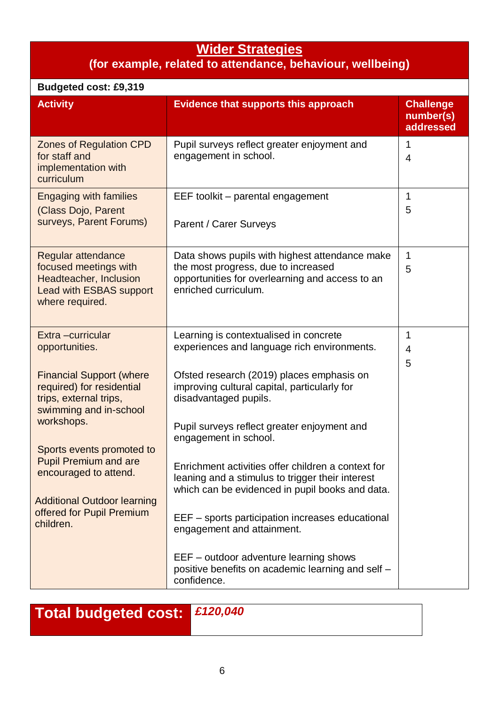### **Wider Strategies**

#### **(for example, related to attendance, behaviour, wellbeing)**

| <b>Budgeted cost: £9,319</b>                                                                                                                                                                                                                                                                                                                |                                                                                                                                                                                                                                                                                                                                                                                                                                                                                                                                                                                                                                                  |                                            |
|---------------------------------------------------------------------------------------------------------------------------------------------------------------------------------------------------------------------------------------------------------------------------------------------------------------------------------------------|--------------------------------------------------------------------------------------------------------------------------------------------------------------------------------------------------------------------------------------------------------------------------------------------------------------------------------------------------------------------------------------------------------------------------------------------------------------------------------------------------------------------------------------------------------------------------------------------------------------------------------------------------|--------------------------------------------|
| <b>Activity</b>                                                                                                                                                                                                                                                                                                                             | <b>Evidence that supports this approach</b>                                                                                                                                                                                                                                                                                                                                                                                                                                                                                                                                                                                                      | <b>Challenge</b><br>number(s)<br>addressed |
| <b>Zones of Regulation CPD</b><br>for staff and<br>implementation with<br>curriculum                                                                                                                                                                                                                                                        | Pupil surveys reflect greater enjoyment and<br>engagement in school.                                                                                                                                                                                                                                                                                                                                                                                                                                                                                                                                                                             | 1<br>$\overline{4}$                        |
| <b>Engaging with families</b><br>(Class Dojo, Parent<br>surveys, Parent Forums)                                                                                                                                                                                                                                                             | EEF toolkit - parental engagement<br>Parent / Carer Surveys                                                                                                                                                                                                                                                                                                                                                                                                                                                                                                                                                                                      | 1<br>5                                     |
| Regular attendance<br>focused meetings with<br>Headteacher, Inclusion<br><b>Lead with ESBAS support</b><br>where required.                                                                                                                                                                                                                  | Data shows pupils with highest attendance make<br>the most progress, due to increased<br>opportunities for overlearning and access to an<br>enriched curriculum.                                                                                                                                                                                                                                                                                                                                                                                                                                                                                 | 1<br>5                                     |
| Extra -curricular<br>opportunities.<br><b>Financial Support (where</b><br>required) for residential<br>trips, external trips,<br>swimming and in-school<br>workshops.<br>Sports events promoted to<br><b>Pupil Premium and are</b><br>encouraged to attend.<br><b>Additional Outdoor learning</b><br>offered for Pupil Premium<br>children. | Learning is contextualised in concrete<br>experiences and language rich environments.<br>Ofsted research (2019) places emphasis on<br>improving cultural capital, particularly for<br>disadvantaged pupils.<br>Pupil surveys reflect greater enjoyment and<br>engagement in school.<br>Enrichment activities offer children a context for<br>leaning and a stimulus to trigger their interest<br>which can be evidenced in pupil books and data.<br>EEF – sports participation increases educational<br>engagement and attainment.<br>EEF – outdoor adventure learning shows<br>positive benefits on academic learning and self -<br>confidence. | 1<br>$\overline{4}$<br>5                   |

**Total budgeted cost:** *£120,040*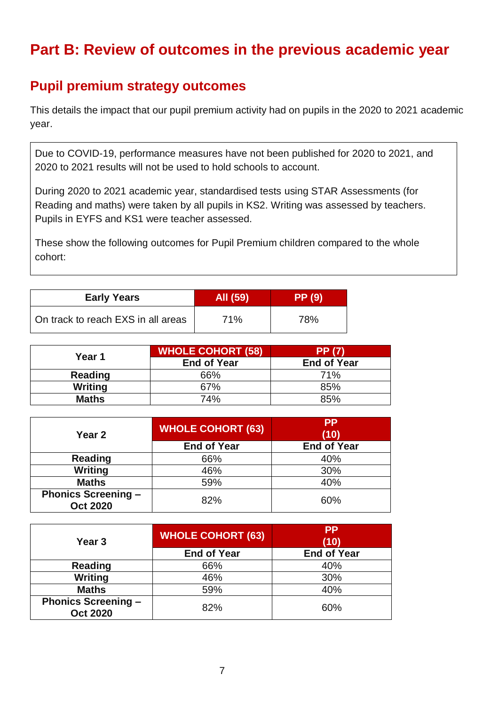# **Part B: Review of outcomes in the previous academic year**

### **Pupil premium strategy outcomes**

This details the impact that our pupil premium activity had on pupils in the 2020 to 2021 academic year.

Due to COVID-19, performance measures have not been published for 2020 to 2021, and 2020 to 2021 results will not be used to hold schools to account.

During 2020 to 2021 academic year, standardised tests using STAR Assessments (for Reading and maths) were taken by all pupils in KS2. Writing was assessed by teachers. Pupils in EYFS and KS1 were teacher assessed.

These show the following outcomes for Pupil Premium children compared to the whole cohort:

| <b>Early Years</b>                 | All (59) | <b>PP</b> (9) |
|------------------------------------|----------|---------------|
| On track to reach EXS in all areas | 71%      | 78%           |

| Year 1         | <b>WHOLE COHORT (58)</b> | <b>PP (7)</b>      |
|----------------|--------------------------|--------------------|
|                | <b>End of Year</b>       | <b>End of Year</b> |
| <b>Reading</b> | 66%                      | 71%                |
| Writing        | 67%                      | 85%                |
| <b>Maths</b>   | 74%                      | 85%                |

| Year <sub>2</sub>                             | <b>WHOLE COHORT (63)</b> | <b>PP</b><br>(10)  |
|-----------------------------------------------|--------------------------|--------------------|
|                                               | <b>End of Year</b>       | <b>End of Year</b> |
| <b>Reading</b>                                | 66%                      | 40%                |
| Writing                                       | 46%                      | 30%                |
| <b>Maths</b>                                  | 59%                      | 40%                |
| <b>Phonics Screening -</b><br><b>Oct 2020</b> | 82%                      | 60%                |

| Year <sub>3</sub>                             | <b>WHOLE COHORT (63)</b> | <b>PP</b><br>(10)  |
|-----------------------------------------------|--------------------------|--------------------|
|                                               | <b>End of Year</b>       | <b>End of Year</b> |
| <b>Reading</b>                                | 66%                      | 40%                |
| <b>Writing</b>                                | 46%                      | 30%                |
| <b>Maths</b>                                  | 59%                      | 40%                |
| <b>Phonics Screening -</b><br><b>Oct 2020</b> | 82%                      | 60%                |